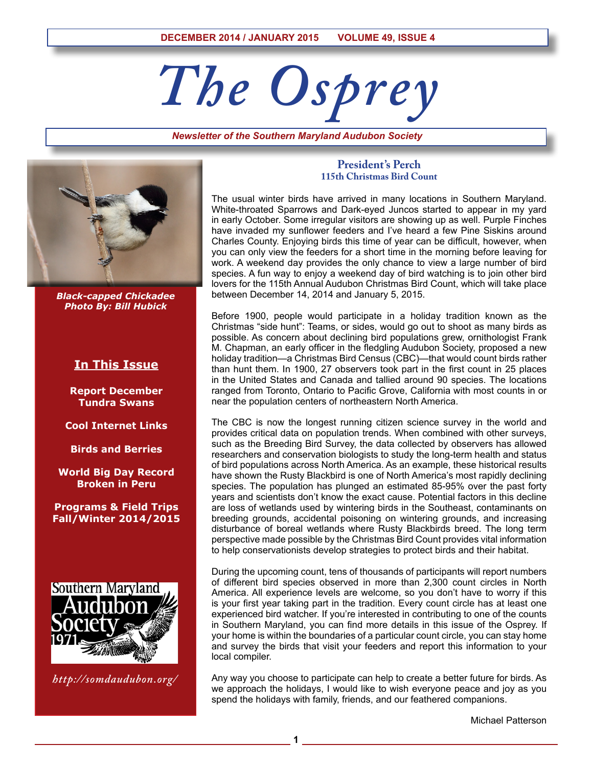

*Newsletter of the Southern Maryland Audubon Society*



*Black-capped Chickadee Photo By: Bill Hubick*

## **In This Issue**

**Report December Tundra Swans**

**Cool Internet Links**

**Birds and Berries**

**World Big Day Record Broken in Peru**

**Programs & Field Trips Fall/Winter 2014/2015**



*http://somdaudubon.org/*

## **President's Perch 115th Christmas Bird Count**

The usual winter birds have arrived in many locations in Southern Maryland. White-throated Sparrows and Dark-eyed Juncos started to appear in my yard in early October. Some irregular visitors are showing up as well. Purple Finches have invaded my sunflower feeders and I've heard a few Pine Siskins around Charles County. Enjoying birds this time of year can be difficult, however, when you can only view the feeders for a short time in the morning before leaving for work. A weekend day provides the only chance to view a large number of bird species. A fun way to enjoy a weekend day of bird watching is to join other bird lovers for the 115th Annual Audubon Christmas Bird Count, which will take place between December 14, 2014 and January 5, 2015.

Before 1900, people would participate in a holiday tradition known as the Christmas "side hunt": Teams, or sides, would go out to shoot as many birds as possible. As concern about declining bird populations grew, ornithologist Frank M. Chapman, an early officer in the fledgling Audubon Society, proposed a new holiday tradition—a Christmas Bird Census (CBC)—that would count birds rather than hunt them. In 1900, 27 observers took part in the first count in 25 places in the United States and Canada and tallied around 90 species. The locations ranged from Toronto, Ontario to Pacific Grove, California with most counts in or near the population centers of northeastern North America.

The CBC is now the longest running citizen science survey in the world and provides critical data on population trends. When combined with other surveys, such as the Breeding Bird Survey, the data collected by observers has allowed researchers and conservation biologists to study the long-term health and status of bird populations across North America. As an example, these historical results have shown the Rusty Blackbird is one of North America's most rapidly declining species. The population has plunged an estimated 85-95% over the past forty years and scientists don't know the exact cause. Potential factors in this decline are loss of wetlands used by wintering birds in the Southeast, contaminants on breeding grounds, accidental poisoning on wintering grounds, and increasing disturbance of boreal wetlands where Rusty Blackbirds breed. The long term perspective made possible by the Christmas Bird Count provides vital information to help conservationists develop strategies to protect birds and their habitat.

During the upcoming count, tens of thousands of participants will report numbers of different bird species observed in more than 2,300 count circles in North America. All experience levels are welcome, so you don't have to worry if this is your first year taking part in the tradition. Every count circle has at least one experienced bird watcher. If you're interested in contributing to one of the counts in Southern Maryland, you can find more details in this issue of the Osprey. If your home is within the boundaries of a particular count circle, you can stay home and survey the birds that visit your feeders and report this information to your local compiler.

Any way you choose to participate can help to create a better future for birds. As we approach the holidays, I would like to wish everyone peace and joy as you spend the holidays with family, friends, and our feathered companions.

Michael Patterson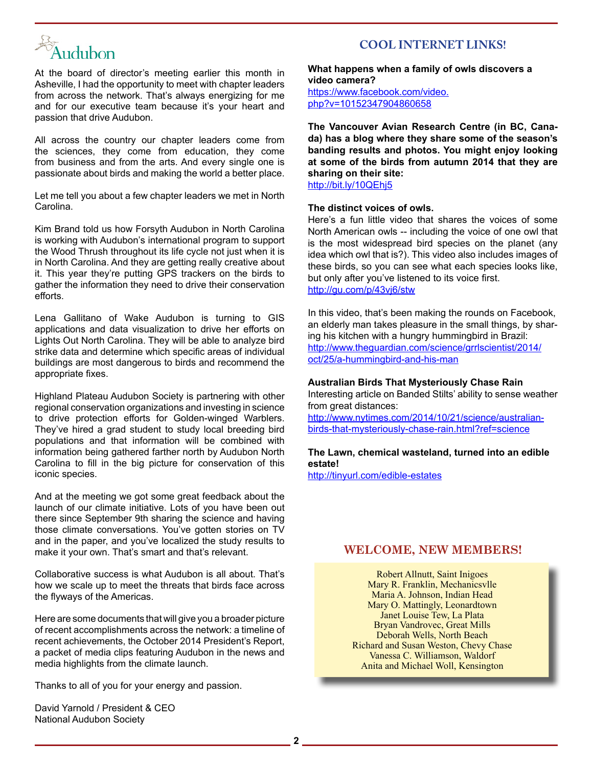# udubon

At the board of director's meeting earlier this month in Asheville, I had the opportunity to meet with chapter leaders from across the network. That's always energizing for me and for our executive team because it's your heart and passion that drive Audubon.

All across the country our chapter leaders come from the sciences, they come from education, they come from business and from the arts. And every single one is passionate about birds and making the world a better place.

Let me tell you about a few chapter leaders we met in North Carolina.

Kim Brand told us how Forsyth Audubon in North Carolina is working with Audubon's international program to support the Wood Thrush throughout its life cycle not just when it is in North Carolina. And they are getting really creative about it. This year they're putting GPS trackers on the birds to gather the information they need to drive their conservation efforts.

Lena Gallitano of Wake Audubon is turning to GIS applications and data visualization to drive her efforts on Lights Out North Carolina. They will be able to analyze bird strike data and determine which specific areas of individual buildings are most dangerous to birds and recommend the appropriate fixes.

Highland Plateau Audubon Society is partnering with other regional conservation organizations and investing in science to drive protection efforts for Golden-winged Warblers. They've hired a grad student to study local breeding bird populations and that information will be combined with information being gathered farther north by Audubon North Carolina to fill in the big picture for conservation of this iconic species.

And at the meeting we got some great feedback about the launch of our climate initiative. Lots of you have been out there since September 9th sharing the science and having those climate conversations. You've gotten stories on TV and in the paper, and you've localized the study results to make it your own. That's smart and that's relevant.

Collaborative success is what Audubon is all about. That's how we scale up to meet the threats that birds face across the flyways of the Americas.

Here are some documents that will give you a broader picture of recent accomplishments across the network: a timeline of recent achievements, the October 2014 President's Report, a packet of media clips featuring Audubon in the news and media highlights from the climate launch.

Thanks to all of you for your energy and passion.

David Yarnold / President & CEO National Audubon Society

## **COOL INTERNET LINKS!**

**What happens when a family of owls discovers a video camera?**

https://www.facebook.com/video. php?v=10152347904860658

**The Vancouver Avian Research Centre (in BC, Canada) has a blog where they share some of the season's banding results and photos. You might enjoy looking at some of the birds from autumn 2014 that they are sharing on their site:**

http://bit.ly/10QEhj5

#### **The distinct voices of owls.**

Here's a fun little video that shares the voices of some North American owls -- including the voice of one owl that is the most widespread bird species on the planet (any idea which owl that is?). This video also includes images of these birds, so you can see what each species looks like, but only after you've listened to its voice first. http://gu.com/p/43vj6/stw

In this video, that's been making the rounds on Facebook, an elderly man takes pleasure in the small things, by sharing his kitchen with a hungry hummingbird in Brazil: http://www.theguardian.com/science/grrlscientist/2014/ oct/25/a-hummingbird-and-his-man

#### **Australian Birds That Mysteriously Chase Rain**

Interesting article on Banded Stilts' ability to sense weather from great distances:

http://www.nytimes.com/2014/10/21/science/australianbirds-that-mysteriously-chase-rain.html?ref=science

#### **The Lawn, chemical wasteland, turned into an edible estate!**

http://tinyurl.com/edible-estates

## **WELCOME, NEW MEMBERS!**

Robert Allnutt, Saint Inigoes Mary R. Franklin, Mechanicsvlle Maria A. Johnson, Indian Head Mary O. Mattingly, Leonardtown Janet Louise Tew, La Plata Bryan Vandrovec, Great Mills Deborah Wells, North Beach Richard and Susan Weston, Chevy Chase Vanessa C. Williamson, Waldorf Anita and Michael Woll, Kensington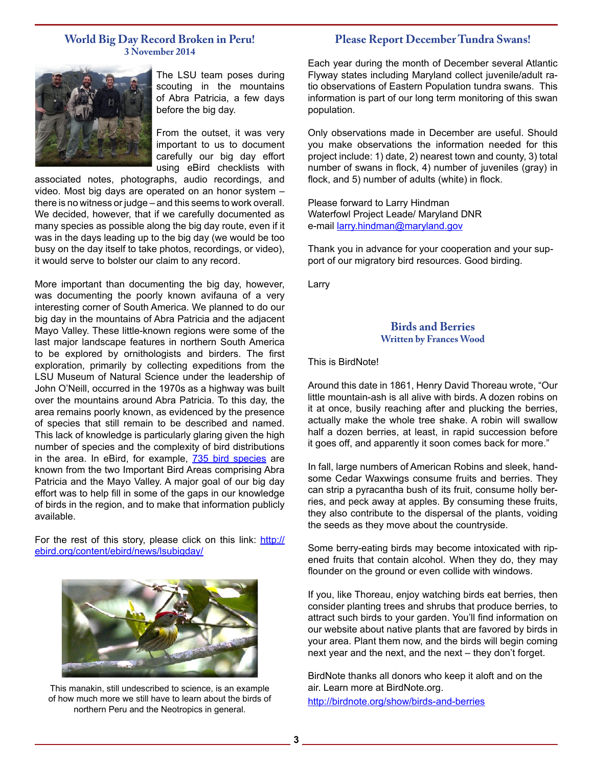## **World Big Day Record Broken in Peru! 3 November 2014**



The LSU team poses during scouting in the mountains of Abra Patricia, a few days before the big day.

From the outset, it was very important to us to document carefully our big day effort using eBird checklists with

associated notes, photographs, audio recordings, and video. Most big days are operated on an honor system – there is no witness or judge – and this seems to work overall. We decided, however, that if we carefully documented as many species as possible along the big day route, even if it was in the days leading up to the big day (we would be too busy on the day itself to take photos, recordings, or video), it would serve to bolster our claim to any record.

More important than documenting the big day, however, was documenting the poorly known avifauna of a very interesting corner of South America. We planned to do our big day in the mountains of Abra Patricia and the adjacent Mayo Valley. These little-known regions were some of the last major landscape features in northern South America to be explored by ornithologists and birders. The first exploration, primarily by collecting expeditions from the LSU Museum of Natural Science under the leadership of John O'Neill, occurred in the 1970s as a highway was built over the mountains around Abra Patricia. To this day, the area remains poorly known, as evidenced by the presence of species that still remain to be described and named. This lack of knowledge is particularly glaring given the high number of species and the complexity of bird distributions in the area. In eBird, for example, 735 bird species are known from the two Important Bird Areas comprising Abra Patricia and the Mayo Valley. A major goal of our big day effort was to help fill in some of the gaps in our knowledge of birds in the region, and to make that information publicly available.

For the rest of this story, please click on this link: http:// ebird.org/content/ebird/news/lsubigday/



This manakin, still undescribed to science, is an example of how much more we still have to learn about the birds of northern Peru and the Neotropics in general.

## **Please Report December Tundra Swans!**

Each year during the month of December several Atlantic Flyway states including Maryland collect juvenile/adult ratio observations of Eastern Population tundra swans. This information is part of our long term monitoring of this swan population.

Only observations made in December are useful. Should you make observations the information needed for this project include: 1) date, 2) nearest town and county, 3) total number of swans in flock, 4) number of juveniles (gray) in flock, and 5) number of adults (white) in flock.

Please forward to Larry Hindman Waterfowl Project Leade/ Maryland DNR e-mail larry.hindman@maryland.gov

Thank you in advance for your cooperation and your support of our migratory bird resources. Good birding.

Larry

#### **Birds and Berries Written by Frances Wood**

#### This is BirdNote!

Around this date in 1861, Henry David Thoreau wrote, "Our little mountain-ash is all alive with birds. A dozen robins on it at once, busily reaching after and plucking the berries, actually make the whole tree shake. A robin will swallow half a dozen berries, at least, in rapid succession before it goes off, and apparently it soon comes back for more."

In fall, large numbers of American Robins and sleek, handsome Cedar Waxwings consume fruits and berries. They can strip a pyracantha bush of its fruit, consume holly berries, and peck away at apples. By consuming these fruits, they also contribute to the dispersal of the plants, voiding the seeds as they move about the countryside.

Some berry-eating birds may become intoxicated with ripened fruits that contain alcohol. When they do, they may flounder on the ground or even collide with windows.

If you, like Thoreau, enjoy watching birds eat berries, then consider planting trees and shrubs that produce berries, to attract such birds to your garden. You'll find information on our website about native plants that are favored by birds in your area. Plant them now, and the birds will begin coming next year and the next, and the next – they don't forget.

BirdNote thanks all donors who keep it aloft and on the air. Learn more at BirdNote.org. http://birdnote.org/show/birds-and-berries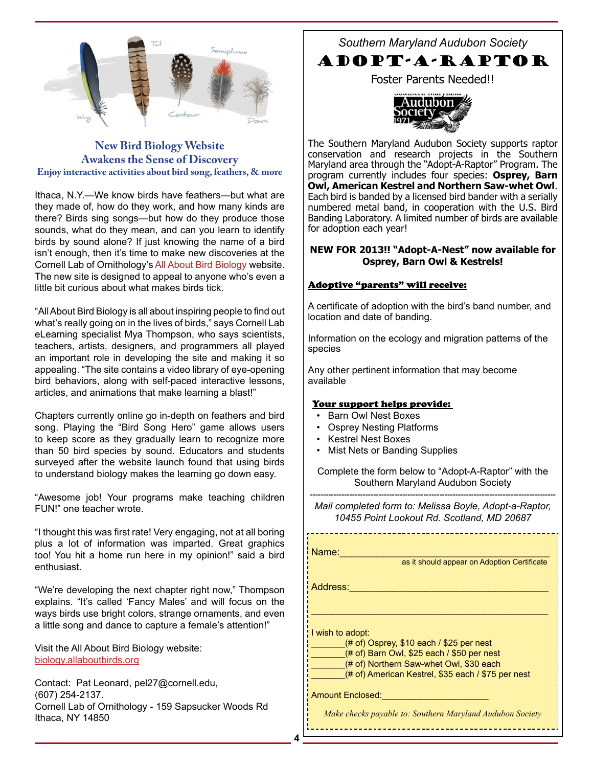

## **New Bird Biology Website Awakens the Sense of Discovery Enjoy interactive activities about bird song, feathers, & more**

Ithaca, N.Y.—We know birds have feathers—but what are they made of, how do they work, and how many kinds are there? Birds sing songs—but how do they produce those sounds, what do they mean, and can you learn to identify birds by sound alone? If just knowing the name of a bird isn't enough, then it's time to make new discoveries at the Cornell Lab of Ornithology's All About Bird Biology website. The new site is designed to appeal to anyone who's even a little bit curious about what makes birds tick.

"All About Bird Biology is all about inspiring people to find out what's really going on in the lives of birds," says Cornell Lab eLearning specialist Mya Thompson, who says scientists, teachers, artists, designers, and programmers all played an important role in developing the site and making it so appealing. "The site contains a video library of eye-opening bird behaviors, along with self-paced interactive lessons, articles, and animations that make learning a blast!"

Chapters currently online go in-depth on feathers and bird song. Playing the "Bird Song Hero" game allows users to keep score as they gradually learn to recognize more than 50 bird species by sound. Educators and students surveyed after the website launch found that using birds to understand biology makes the learning go down easy.

"Awesome job! Your programs make teaching children FUN!" one teacher wrote.

"I thought this was first rate! Very engaging, not at all boring plus a lot of information was imparted. Great graphics too! You hit a home run here in my opinion!" said a bird enthusiast.

"We're developing the next chapter right now," Thompson explains. "It's called 'Fancy Males' and will focus on the ways birds use bright colors, strange ornaments, and even a little song and dance to capture a female's attention!"

Visit the All About Bird Biology website: biology.allaboutbirds.org

Contact: Pat Leonard, pel27@cornell.edu, (607) 254-2137. Cornell Lab of Ornithology - 159 Sapsucker Woods Rd Ithaca, NY 14850

*Southern Maryland Audubon Society*

# ADOPT-A-RAPTOR

Foster Parents Needed!!



The Southern Maryland Audubon Society supports raptor conservation and research projects in the Southern Maryland area through the "Adopt-A-Raptor" Program. The program currently includes four species: **Osprey, Barn Owl, American Kestrel and Northern Saw-whet Owl**. Each bird is banded by a licensed bird bander with a serially numbered metal band, in cooperation with the U.S. Bird Banding Laboratory. A limited number of birds are available for adoption each year!

#### **NEW FOR 2013!! "Adopt-A-Nest" now available for Osprey, Barn Owl & Kestrels!**

## Adoptive "parents" will receive:

A certificate of adoption with the bird's band number, and location and date of banding.

Information on the ecology and migration patterns of the species

Any other pertinent information that may become available

#### Your support helps provide:

- Barn Owl Nest Boxes
- **Osprey Nesting Platforms**
- Kestrel Nest Boxes
- Mist Nets or Banding Supplies

Complete the form below to "Adopt-A-Raptor" with the Southern Maryland Audubon Society

--------------------------------------------------------------------------------------------- *Mail completed form to: Melissa Boyle, Adopt-a-Raptor, 10455 Point Lookout Rd. Scotland, MD 20687*

Name:\_\_\_\_\_\_\_\_\_\_\_\_\_\_\_\_\_\_\_\_\_\_\_\_\_\_\_\_\_\_\_\_\_\_\_\_\_\_\_

as it should appear on Adoption Certificate

Address:

I wish to adopt:

 $(# of)$  Osprey, \$10 each / \$25 per nest

 $(# of)$  Barn Owl, \$25 each / \$50 per nest

(# of) Northern Saw-whet Owl, \$30 each

(# of) American Kestrel, \$35 each / \$75 per nest

\_\_\_\_\_\_\_\_\_\_\_\_\_\_\_\_\_\_\_\_\_\_\_\_\_\_\_\_\_\_\_\_\_\_\_\_\_\_\_\_\_\_\_\_

Amount Enclosed:

**4**

*continued on page 5 Make checks payable to: Southern Maryland Audubon Society*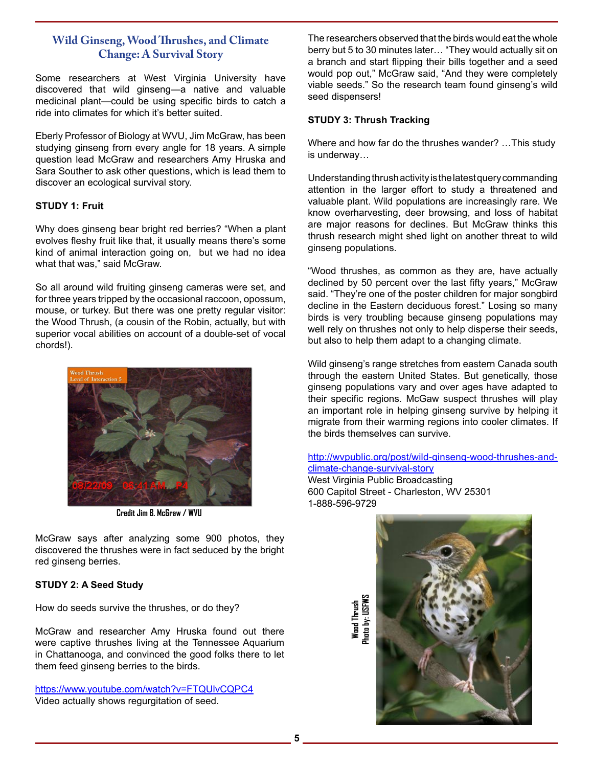## **Wild Ginseng, Wood Thrushes, and Climate Change: A Survival Story**

Some researchers at West Virginia University have discovered that wild ginseng—a native and valuable medicinal plant—could be using specific birds to catch a ride into climates for which it's better suited.

Eberly Professor of Biology at WVU, Jim McGraw, has been studying ginseng from every angle for 18 years. A simple question lead McGraw and researchers Amy Hruska and Sara Souther to ask other questions, which is lead them to discover an ecological survival story.

#### **STUDY 1: Fruit**

Why does ginseng bear bright red berries? "When a plant evolves fleshy fruit like that, it usually means there's some kind of animal interaction going on, but we had no idea what that was," said McGraw.

So all around wild fruiting ginseng cameras were set, and for three years tripped by the occasional raccoon, opossum, mouse, or turkey. But there was one pretty regular visitor: the Wood Thrush, (a cousin of the Robin, actually, but with superior vocal abilities on account of a double-set of vocal chords!).



**Credit Jim B. McGraw / WVU**

McGraw says after analyzing some 900 photos, they discovered the thrushes were in fact seduced by the bright red ginseng berries.

#### **STUDY 2: A Seed Study**

How do seeds survive the thrushes, or do they?

McGraw and researcher Amy Hruska found out there were captive thrushes living at the Tennessee Aquarium in Chattanooga, and convinced the good folks there to let them feed ginseng berries to the birds.

https://www.youtube.com/watch?v=FTQUlvCQPC4 Video actually shows regurgitation of seed.

The researchers observed that the birds would eat the whole berry but 5 to 30 minutes later… "They would actually sit on a branch and start flipping their bills together and a seed would pop out," McGraw said, "And they were completely viable seeds." So the research team found ginseng's wild seed dispensers!

#### **STUDY 3: Thrush Tracking**

Where and how far do the thrushes wander? …This study is underway…

Understanding thrush activity is the latest query commanding attention in the larger effort to study a threatened and valuable plant. Wild populations are increasingly rare. We know overharvesting, deer browsing, and loss of habitat are major reasons for declines. But McGraw thinks this thrush research might shed light on another threat to wild ginseng populations.

"Wood thrushes, as common as they are, have actually declined by 50 percent over the last fifty years," McGraw said. "They're one of the poster children for major songbird decline in the Eastern deciduous forest." Losing so many birds is very troubling because ginseng populations may well rely on thrushes not only to help disperse their seeds, but also to help them adapt to a changing climate.

Wild ginseng's range stretches from eastern Canada south through the eastern United States. But genetically, those ginseng populations vary and over ages have adapted to their specific regions. McGaw suspect thrushes will play an important role in helping ginseng survive by helping it migrate from their warming regions into cooler climates. If the birds themselves can survive.

#### http://wvpublic.org/post/wild-ginseng-wood-thrushes-andclimate-change-survival-story

West Virginia Public Broadcasting 600 Capitol Street - Charleston, WV 25301 1-888-596-9729

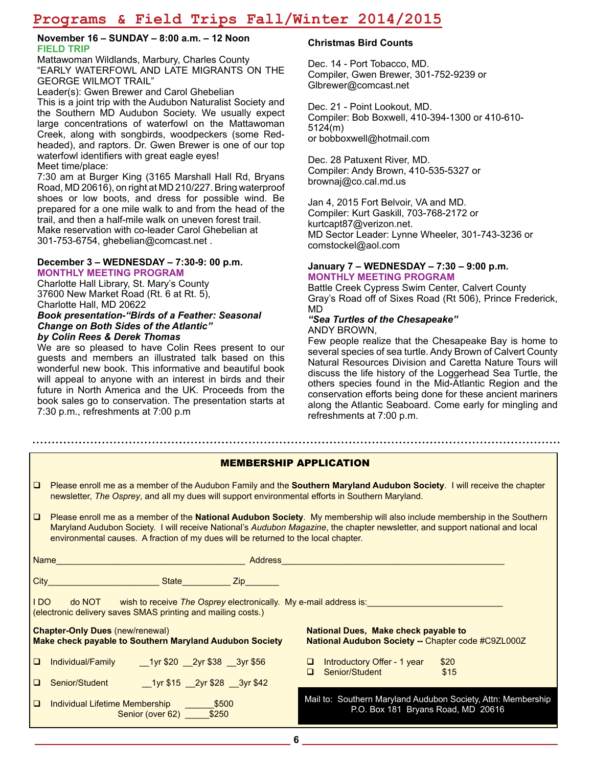## **Programs & Field Trips Fall/Winter 2014/2015**

#### **November 16 – SUNDAY – 8:00 a.m. – 12 Noon FIELD TRIP**

Mattawoman Wildlands, Marbury, Charles County "EARLY WATERFOWL AND LATE MIGRANTS ON THE GEORGE WILMOT TRAIL"

Leader(s): Gwen Brewer and Carol Ghebelian

This is a joint trip with the Audubon Naturalist Society and the Southern MD Audubon Society. We usually expect large concentrations of waterfowl on the Mattawoman Creek, along with songbirds, woodpeckers (some Redheaded), and raptors. Dr. Gwen Brewer is one of our top waterfowl identifiers with great eagle eyes!

Meet time/place:

7:30 am at Burger King (3165 Marshall Hall Rd, Bryans Road, MD 20616), on right at MD 210/227. Bring waterproof shoes or low boots, and dress for possible wind. Be prepared for a one mile walk to and from the head of the trail, and then a half-mile walk on uneven forest trail. Make reservation with co-leader Carol Ghebelian at 301-753-6754, ghebelian@comcast.net .

#### **December 3 – WEDNESDAY – 7:30-9: 00 p.m. MONTHLY MEETING PROGRAM**

Charlotte Hall Library, St. Mary's County 37600 New Market Road (Rt. 6 at Rt. 5), Charlotte Hall, MD 20622

#### *Book presentation-"Birds of a Feather: Seasonal Change on Both Sides of the Atlantic" by Colin Rees & Derek Thomas*

We are so pleased to have Colin Rees present to our guests and members an illustrated talk based on this wonderful new book. This informative and beautiful book will appeal to anyone with an interest in birds and their future in North America and the UK. Proceeds from the book sales go to conservation. The presentation starts at 7:30 p.m., refreshments at 7:00 p.m

## **Christmas Bird Counts**

Dec. 14 - Port Tobacco, MD. Compiler, Gwen Brewer, 301-752-9239 or Glbrewer@comcast.net

Dec. 21 - Point Lookout, MD. Compiler: Bob Boxwell, 410-394-1300 or 410-610- 5124(m) or bobboxwell@hotmail.com

Dec. 28 Patuxent River, MD. Compiler: Andy Brown, 410-535-5327 or brownaj@co.cal.md.us

Jan 4, 2015 Fort Belvoir, VA and MD. Compiler: Kurt Gaskill, 703-768-2172 or kurtcapt87@verizon.net. MD Sector Leader: Lynne Wheeler, 301-743-3236 or comstockel@aol.com

#### **January 7 – WEDNESDAY – 7:30 – 9:00 p.m. MONTHLY MEETING PROGRAM**

Battle Creek Cypress Swim Center, Calvert County Gray's Road off of Sixes Road (Rt 506), Prince Frederick, MD

#### *"Sea Turtles of the Chesapeake"* ANDY BROWN,

Few people realize that the Chesapeake Bay is home to several species of sea turtle. Andy Brown of Calvert County Natural Resources Division and Caretta Nature Tours will discuss the life history of the Loggerhead Sea Turtle, the others species found in the Mid-Atlantic Region and the conservation efforts being done for these ancient mariners along the Atlantic Seaboard. Come early for mingling and refreshments at 7:00 p.m.

| <b>MEMBERSHIP APPLICATION</b>                                                                                                                                                                                                                                                                                                                            |                                                                                                                                                                                                                              |                                                                                                    |
|----------------------------------------------------------------------------------------------------------------------------------------------------------------------------------------------------------------------------------------------------------------------------------------------------------------------------------------------------------|------------------------------------------------------------------------------------------------------------------------------------------------------------------------------------------------------------------------------|----------------------------------------------------------------------------------------------------|
| $\Box$                                                                                                                                                                                                                                                                                                                                                   | Please enroll me as a member of the Audubon Family and the Southern Maryland Audubon Society. I will receive the chapter<br>newsletter, The Osprey, and all my dues will support environmental efforts in Southern Maryland. |                                                                                                    |
| $\Box$<br>Please enroll me as a member of the National Audubon Society. My membership will also include membership in the Southern<br>Maryland Audubon Society. I will receive National's Audubon Magazine, the chapter newsletter, and support national and local<br>environmental causes. A fraction of my dues will be returned to the local chapter. |                                                                                                                                                                                                                              |                                                                                                    |
|                                                                                                                                                                                                                                                                                                                                                          |                                                                                                                                                                                                                              |                                                                                                    |
|                                                                                                                                                                                                                                                                                                                                                          |                                                                                                                                                                                                                              |                                                                                                    |
| IDO do NOT wish to receive The Osprey electronically. My e-mail address is:<br>(electronic delivery saves SMAS printing and mailing costs.)                                                                                                                                                                                                              |                                                                                                                                                                                                                              |                                                                                                    |
| <b>Chapter-Only Dues (new/renewal)</b><br>Make check payable to Southern Maryland Audubon Society                                                                                                                                                                                                                                                        |                                                                                                                                                                                                                              | <b>National Dues, Make check payable to</b><br>National Audubon Society -- Chapter code #C9ZL000Z  |
| $\Box$                                                                                                                                                                                                                                                                                                                                                   |                                                                                                                                                                                                                              | $\Box$ Introductory Offer - 1 year<br>\$20<br>Senior/Student<br>\$15<br>$\Box$                     |
| $\Box$                                                                                                                                                                                                                                                                                                                                                   |                                                                                                                                                                                                                              |                                                                                                    |
| $\Box$                                                                                                                                                                                                                                                                                                                                                   | Individual Lifetime Membership ______________\$500<br>Senior (over 62) \$250                                                                                                                                                 | Mail to: Southern Maryland Audubon Society, Attn: Membership<br>P.O. Box 181 Bryans Road, MD 20616 |

**6**